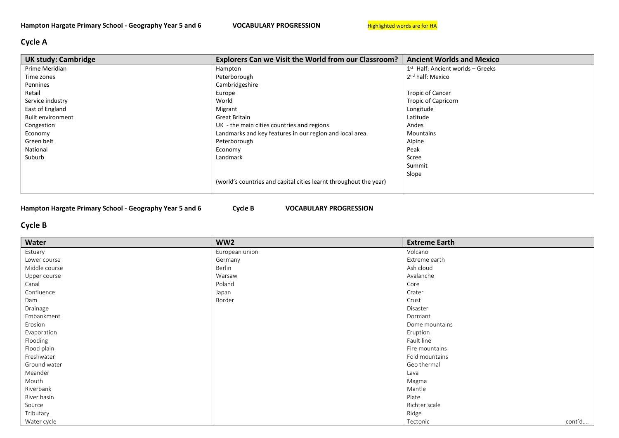## Cycle A

| <b>UK study: Cambridge</b> | <b>Explorers Can we Visit the World from our Classroom?</b>       | <b>Ancient Worlds and Mexico</b>    |
|----------------------------|-------------------------------------------------------------------|-------------------------------------|
| Prime Meridian             | Hampton                                                           | $1st$ Half: Ancient worlds – Greeks |
| Time zones                 | Peterborough                                                      | 2 <sup>nd</sup> half: Mexico        |
| Pennines                   | Cambridgeshire                                                    |                                     |
| Retail                     | Europe                                                            | <b>Tropic of Cancer</b>             |
| Service industry           | World                                                             | <b>Tropic of Capricorn</b>          |
| East of England            | Migrant                                                           | Longitude                           |
| <b>Built environment</b>   | Great Britain                                                     | Latitude                            |
| Congestion                 | UK - the main cities countries and regions                        | Andes                               |
| Economy                    | Landmarks and key features in our region and local area.          | <b>Mountains</b>                    |
| Green belt                 | Peterborough                                                      | Alpine                              |
| National                   | Economy                                                           | Peak                                |
| Suburb                     | Landmark                                                          | Scree                               |
|                            |                                                                   | Summit                              |
|                            |                                                                   | Slope                               |
|                            | (world's countries and capital cities learnt throughout the year) |                                     |
|                            |                                                                   |                                     |

Hampton Hargate Primary School - Geography Year 5 and 6 Cycle B VOCABULARY PROGRESSION

## Cycle B

| Water         | WW <sub>2</sub> | <b>Extreme Earth</b> |
|---------------|-----------------|----------------------|
| Estuary       | European union  | Volcano              |
| Lower course  | Germany         | Extreme earth        |
| Middle course | Berlin          | Ash cloud            |
| Upper course  | Warsaw          | Avalanche            |
| Canal         | Poland          | Core                 |
| Confluence    | Japan           | Crater               |
| Dam           | Border          | Crust                |
| Drainage      |                 | Disaster             |
| Embankment    |                 | Dormant              |
| Erosion       |                 | Dome mountains       |
| Evaporation   |                 | Eruption             |
| Flooding      |                 | Fault line           |
| Flood plain   |                 | Fire mountains       |
| Freshwater    |                 | Fold mountains       |
| Ground water  |                 | Geo thermal          |
| Meander       |                 | Lava                 |
| Mouth         |                 | Magma                |
| Riverbank     |                 | Mantle               |
| River basin   |                 | Plate                |
| Source        |                 | Richter scale        |
| Tributary     |                 | Ridge                |
| Water cycle   |                 | cont'd<br>Tectonic   |